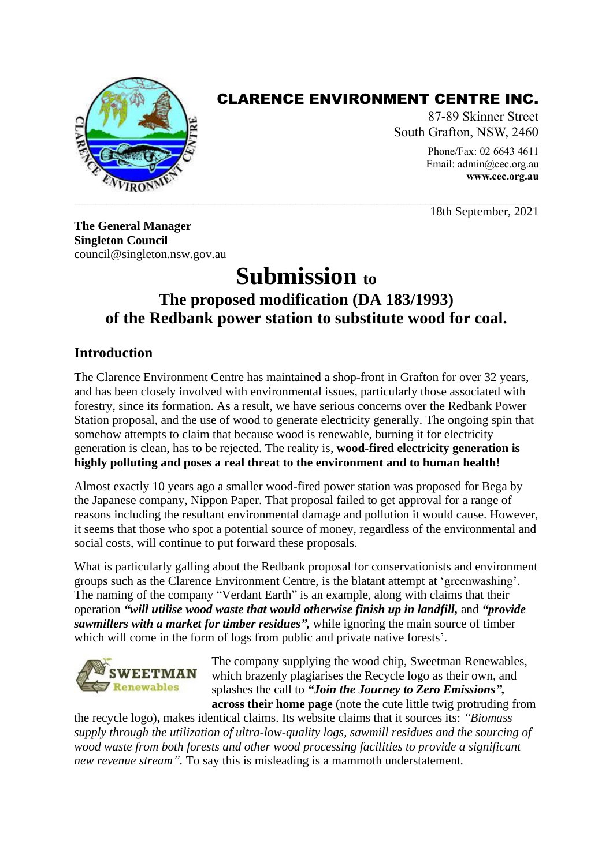

## CLARENCE ENVIRONMENT CENTRE INC.

87-89 Skinner Street South Grafton, NSW, 2460 Phone/Fax: 02 6643 4611

Email: [admin@cec.org.au](mailto:admin@nor.com.au) **[www.cec.org.au](http://www.cec.org.au/)**

18th September, 2021

**The General Manager Singleton Council** council@singleton.nsw.gov.au

# **Submission to The proposed modification (DA 183/1993) of the Redbank power station to substitute wood for coal.**

## **Introduction**

The Clarence Environment Centre has maintained a shop-front in Grafton for over 32 years, and has been closely involved with environmental issues, particularly those associated with forestry, since its formation. As a result, we have serious concerns over the Redbank Power Station proposal, and the use of wood to generate electricity generally. The ongoing spin that somehow attempts to claim that because wood is renewable, burning it for electricity generation is clean, has to be rejected. The reality is, **wood-fired electricity generation is highly polluting and poses a real threat to the environment and to human health!**

Almost exactly 10 years ago a smaller wood-fired power station was proposed for Bega by the Japanese company, Nippon Paper. That proposal failed to get approval for a range of reasons including the resultant environmental damage and pollution it would cause. However, it seems that those who spot a potential source of money, regardless of the environmental and social costs, will continue to put forward these proposals.

What is particularly galling about the Redbank proposal for conservationists and environment groups such as the Clarence Environment Centre, is the blatant attempt at 'greenwashing'. The naming of the company "Verdant Earth" is an example, along with claims that their operation *"will utilise wood waste that would otherwise finish up in landfill,* and *"provide sawmillers with a market for timber residues",* while ignoring the main source of timber which will come in the form of logs from public and private native forests'.



The company supplying the wood chip, Sweetman Renewables, which brazenly plagiarises the Recycle logo as their own, and splashes the call to *"Join the Journey to Zero Emissions",* **across their home page** (note the cute little twig protruding from

the recycle logo)**,** makes identical claims. Its website claims that it sources its: *"Biomass supply through the utilization of ultra-low-quality logs, sawmill residues and the sourcing of wood waste from both forests and other wood processing facilities to provide a significant new revenue stream".* To say this is misleading is a mammoth understatement*.*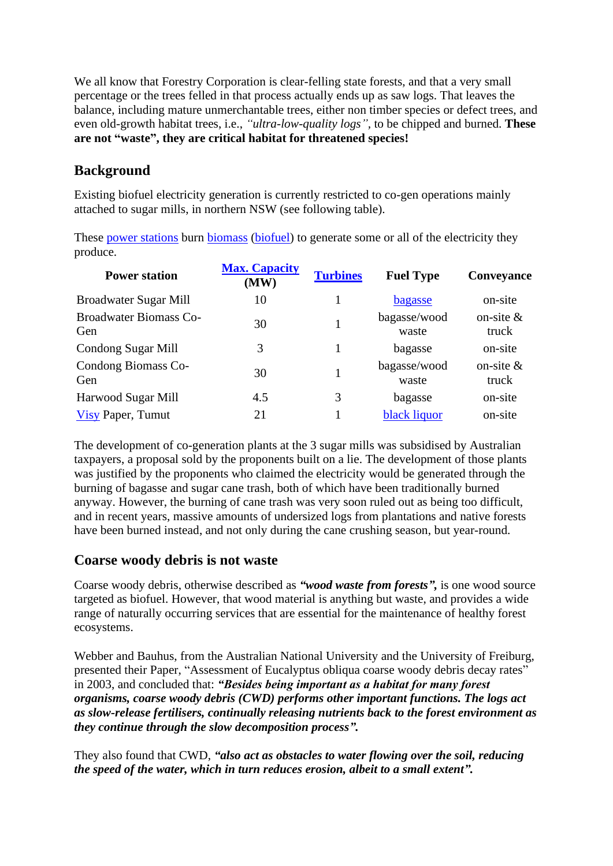We all know that Forestry Corporation is clear-felling state forests, and that a very small percentage or the trees felled in that process actually ends up as saw logs. That leaves the balance, including mature unmerchantable trees, either non timber species or defect trees, and even old-growth habitat trees, i.e., *"ultra-low-quality logs",* to be chipped and burned. **These are not "waste", they are critical habitat for threatened species!**

## **Background**

Existing biofuel electricity generation is currently restricted to co-gen operations mainly attached to sugar mills, in northern NSW (see following table).

These [power stations](https://en.wikipedia.org/wiki/Power_station) burn [biomass](https://en.wikipedia.org/wiki/Biomass) [\(biofuel\)](https://en.wikipedia.org/wiki/Biofuel) to generate some or all of the electricity they produce.

| <b>Power station</b>                 | <b>Max. Capacity</b><br>(MW) | <b>Turbines</b> | <b>Fuel Type</b>      | Conveyance            |
|--------------------------------------|------------------------------|-----------------|-----------------------|-----------------------|
| Broadwater Sugar Mill                | 10                           |                 | bagasse               | on-site               |
| <b>Broadwater Biomass Co-</b><br>Gen | 30                           |                 | bagasse/wood<br>waste | on-site $\&$<br>truck |
| <b>Condong Sugar Mill</b>            | 3                            |                 | bagasse               | on-site               |
| Condong Biomass Co-<br>Gen           | 30                           |                 | bagasse/wood<br>waste | on-site $\&$<br>truck |
| Harwood Sugar Mill                   | 4.5                          | 3               | bagasse               | on-site               |
| <b>Visy Paper</b> , Tumut            | 21                           |                 | black liquor          | on-site               |

The development of co-generation plants at the 3 sugar mills was subsidised by Australian taxpayers, a proposal sold by the proponents built on a lie. The development of those plants was justified by the proponents who claimed the electricity would be generated through the burning of bagasse and sugar cane trash, both of which have been traditionally burned anyway. However, the burning of cane trash was very soon ruled out as being too difficult, and in recent years, massive amounts of undersized logs from plantations and native forests have been burned instead, and not only during the cane crushing season, but year-round.

#### **Coarse woody debris is not waste**

Coarse woody debris, otherwise described as *"wood waste from forests",* is one wood source targeted as biofuel. However, that wood material is anything but waste, and provides a wide range of naturally occurring services that are essential for the maintenance of healthy forest ecosystems.

Webber and Bauhus, from the Australian National University and the University of Freiburg, presented their Paper, "Assessment of Eucalyptus obliqua coarse woody debris decay rates" in 2003, and concluded that: *"Besides being important as a habitat for many forest organisms, coarse woody debris (CWD) performs other important functions. The logs act as slow-release fertilisers, continually releasing nutrients back to the forest environment as they continue through the slow decomposition process".* 

They also found that CWD, *"also act as obstacles to water flowing over the soil, reducing the speed of the water, which in turn reduces erosion, albeit to a small extent".*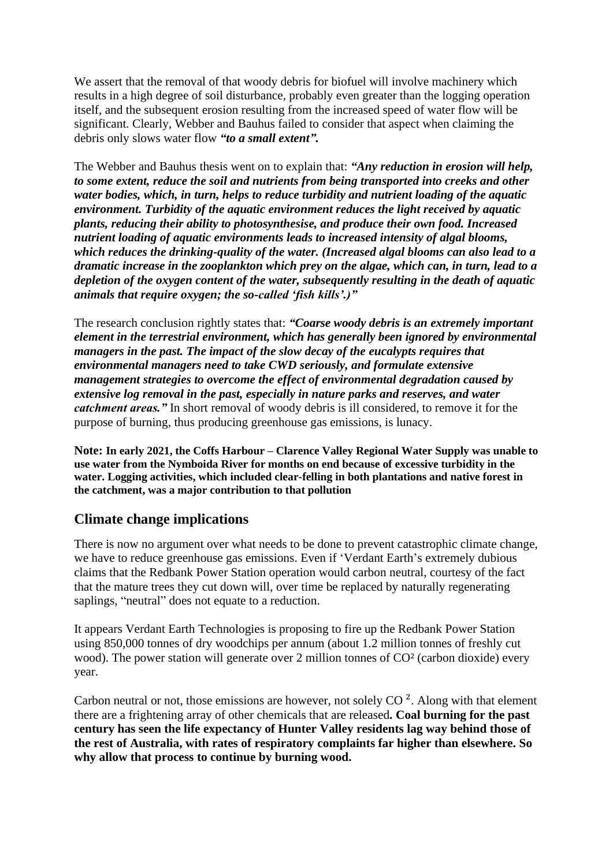We assert that the removal of that woody debris for biofuel will involve machinery which results in a high degree of soil disturbance, probably even greater than the logging operation itself, and the subsequent erosion resulting from the increased speed of water flow will be significant. Clearly, Webber and Bauhus failed to consider that aspect when claiming the debris only slows water flow *"to a small extent".*

The Webber and Bauhus thesis went on to explain that: *"Any reduction in erosion will help, to some extent, reduce the soil and nutrients from being transported into creeks and other water bodies, which, in turn, helps to reduce turbidity and nutrient loading of the aquatic environment. Turbidity of the aquatic environment reduces the light received by aquatic plants, reducing their ability to photosynthesise, and produce their own food. Increased nutrient loading of aquatic environments leads to increased intensity of algal blooms, which reduces the drinking-quality of the water. (Increased algal blooms can also lead to a dramatic increase in the zooplankton which prey on the algae, which can, in turn, lead to a depletion of the oxygen content of the water, subsequently resulting in the death of aquatic animals that require oxygen; the so-called 'fish kills'.)"*

The research conclusion rightly states that: *"Coarse woody debris is an extremely important element in the terrestrial environment, which has generally been ignored by environmental managers in the past. The impact of the slow decay of the eucalypts requires that environmental managers need to take CWD seriously, and formulate extensive management strategies to overcome the effect of environmental degradation caused by extensive log removal in the past, especially in nature parks and reserves, and water catchment areas."* In short removal of woody debris is ill considered, to remove it for the purpose of burning, thus producing greenhouse gas emissions, is lunacy.

**Note: In early 2021, the Coffs Harbour – Clarence Valley Regional Water Supply was unable to use water from the Nymboida River for months on end because of excessive turbidity in the water. Logging activities, which included clear-felling in both plantations and native forest in the catchment, was a major contribution to that pollution**

#### **Climate change implications**

There is now no argument over what needs to be done to prevent catastrophic climate change, we have to reduce greenhouse gas emissions. Even if 'Verdant Earth's extremely dubious claims that the Redbank Power Station operation would carbon neutral, courtesy of the fact that the mature trees they cut down will, over time be replaced by naturally regenerating saplings, "neutral" does not equate to a reduction.

It appears Verdant Earth Technologies is proposing to fire up the Redbank Power Station using 850,000 tonnes of dry woodchips per annum (about 1.2 million tonnes of freshly cut wood). The power station will generate over 2 million tonnes of CO<sup>2</sup> (carbon dioxide) every year.

Carbon neutral or not, those emissions are however, not solely  $CO<sup>2</sup>$ . Along with that element there are a frightening array of other chemicals that are released**. Coal burning for the past century has seen the life expectancy of Hunter Valley residents lag way behind those of the rest of Australia, with rates of respiratory complaints far higher than elsewhere. So why allow that process to continue by burning wood.**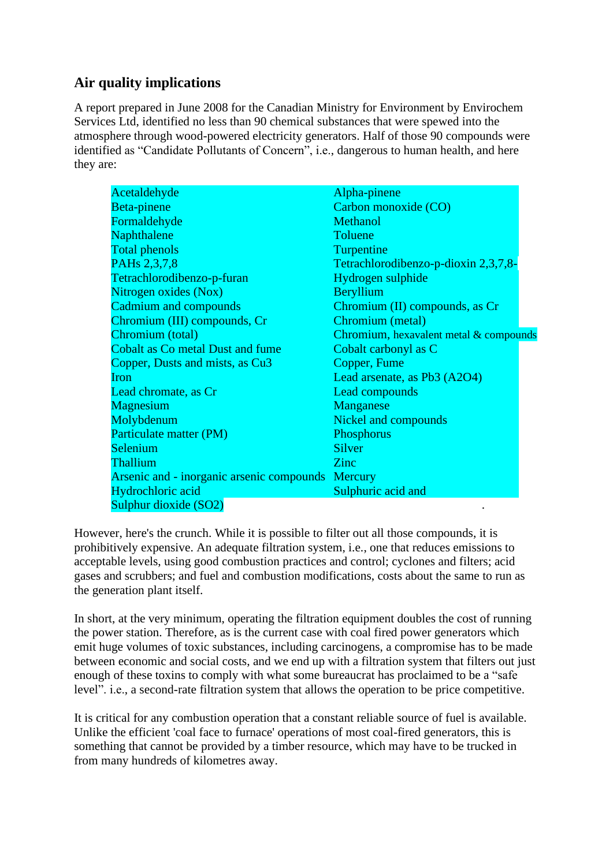## **Air quality implications**

A report prepared in June 2008 for the Canadian Ministry for Environment by Envirochem Services Ltd, identified no less than 90 chemical substances that were spewed into the atmosphere through wood-powered electricity generators. Half of those 90 compounds were identified as "Candidate Pollutants of Concern", i.e., dangerous to human health, and here they are:

| Acetaldehyde                                      | Alpha-pinene                           |  |
|---------------------------------------------------|----------------------------------------|--|
| Beta-pinene                                       | Carbon monoxide (CO)                   |  |
| Formaldehyde                                      | <b>Methanol</b>                        |  |
| Naphthalene                                       | Toluene                                |  |
| <b>Total phenols</b>                              | Turpentine                             |  |
| PAHs 2,3,7,8                                      | Tetrachlorodibenzo-p-dioxin 2,3,7,8-   |  |
| Tetrachlorodibenzo-p-furan                        | Hydrogen sulphide                      |  |
| Nitrogen oxides (Nox)                             | Beryllium                              |  |
| <b>Cadmium and compounds</b>                      | Chromium (II) compounds, as Cr         |  |
| Chromium (III) compounds, Cr                      | Chromium (metal)                       |  |
| Chromium (total)                                  | Chromium, hexavalent metal & compounds |  |
| <b>Cobalt as Co metal Dust and fume</b>           | Cobalt carbonyl as C                   |  |
| Copper, Dusts and mists, as Cu3                   | Copper, Fume                           |  |
| Iron                                              | Lead arsenate, as Pb3 (A2O4)           |  |
| Lead chromate, as Cr                              | Lead compounds                         |  |
| <b>Magnesium</b>                                  | Manganese                              |  |
| Molybdenum                                        | Nickel and compounds                   |  |
| Particulate matter (PM)                           | Phosphorus                             |  |
| Selenium                                          | Silver                                 |  |
| Thallium                                          | Zinc                                   |  |
| Arsenic and - inorganic arsenic compounds Mercury |                                        |  |
| Hydrochloric acid                                 | Sulphuric acid and                     |  |
| Sulphur dioxide (SO2)                             |                                        |  |

However, here's the crunch. While it is possible to filter out all those compounds, it is prohibitively expensive. An adequate filtration system, i.e., one that reduces emissions to acceptable levels, using good combustion practices and control; cyclones and filters; acid gases and scrubbers; and fuel and combustion modifications, costs about the same to run as the generation plant itself.

In short, at the very minimum, operating the filtration equipment doubles the cost of running the power station. Therefore, as is the current case with coal fired power generators which emit huge volumes of toxic substances, including carcinogens, a compromise has to be made between economic and social costs, and we end up with a filtration system that filters out just enough of these toxins to comply with what some bureaucrat has proclaimed to be a "safe level". i.e., a second-rate filtration system that allows the operation to be price competitive.

It is critical for any combustion operation that a constant reliable source of fuel is available. Unlike the efficient 'coal face to furnace' operations of most coal-fired generators, this is something that cannot be provided by a timber resource, which may have to be trucked in from many hundreds of kilometres away.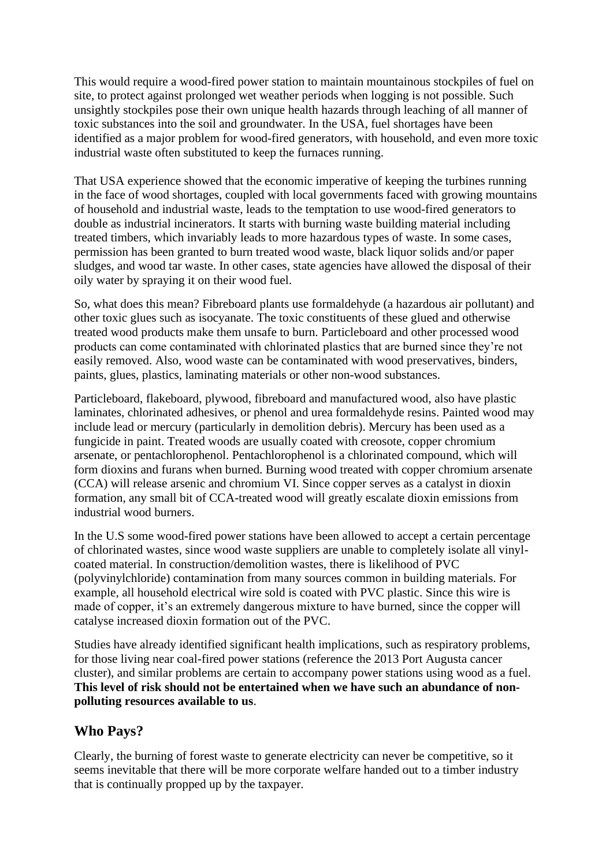This would require a wood-fired power station to maintain mountainous stockpiles of fuel on site, to protect against prolonged wet weather periods when logging is not possible. Such unsightly stockpiles pose their own unique health hazards through leaching of all manner of toxic substances into the soil and groundwater. In the USA, fuel shortages have been identified as a major problem for wood-fired generators, with household, and even more toxic industrial waste often substituted to keep the furnaces running.

That USA experience showed that the economic imperative of keeping the turbines running in the face of wood shortages, coupled with local governments faced with growing mountains of household and industrial waste, leads to the temptation to use wood-fired generators to double as industrial incinerators. It starts with burning waste building material including treated timbers, which invariably leads to more hazardous types of waste. In some cases, permission has been granted to burn treated wood waste, black liquor solids and/or paper sludges, and wood tar waste. In other cases, state agencies have allowed the disposal of their oily water by spraying it on their wood fuel.

So, what does this mean? Fibreboard plants use formaldehyde (a hazardous air pollutant) and other toxic glues such as isocyanate. The toxic constituents of these glued and otherwise treated wood products make them unsafe to burn. Particleboard and other processed wood products can come contaminated with chlorinated plastics that are burned since they're not easily removed. Also, wood waste can be contaminated with wood preservatives, binders, paints, glues, plastics, laminating materials or other non-wood substances.

Particleboard, flakeboard, plywood, fibreboard and manufactured wood, also have plastic laminates, chlorinated adhesives, or phenol and urea formaldehyde resins. Painted wood may include lead or mercury (particularly in demolition debris). Mercury has been used as a fungicide in paint. Treated woods are usually coated with creosote, copper chromium arsenate, or pentachlorophenol. Pentachlorophenol is a chlorinated compound, which will form dioxins and furans when burned. Burning wood treated with copper chromium arsenate (CCA) will release arsenic and chromium VI. Since copper serves as a catalyst in dioxin formation, any small bit of CCA-treated wood will greatly escalate dioxin emissions from industrial wood burners.

In the U.S some wood-fired power stations have been allowed to accept a certain percentage of chlorinated wastes, since wood waste suppliers are unable to completely isolate all vinylcoated material. In construction/demolition wastes, there is likelihood of PVC (polyvinylchloride) contamination from many sources common in building materials. For example, all household electrical wire sold is coated with PVC plastic. Since this wire is made of copper, it's an extremely dangerous mixture to have burned, since the copper will catalyse increased dioxin formation out of the PVC.

Studies have already identified significant health implications, such as respiratory problems, for those living near coal-fired power stations (reference the 2013 Port Augusta cancer cluster), and similar problems are certain to accompany power stations using wood as a fuel. **This level of risk should not be entertained when we have such an abundance of nonpolluting resources available to us**.

## **Who Pays?**

Clearly, the burning of forest waste to generate electricity can never be competitive, so it seems inevitable that there will be more corporate welfare handed out to a timber industry that is continually propped up by the taxpayer.